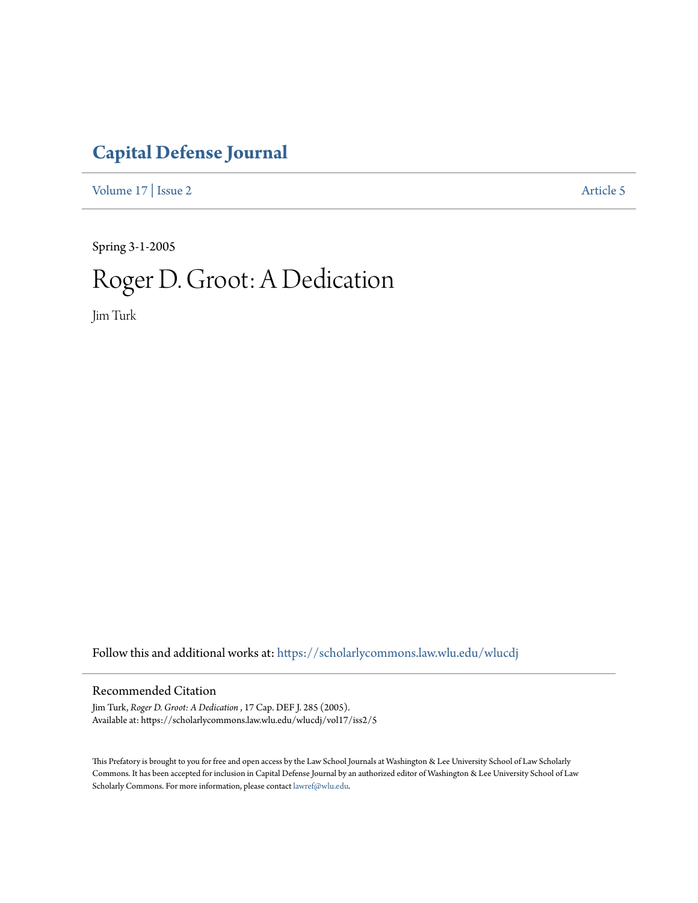## **[Capital Defense Journal](https://scholarlycommons.law.wlu.edu/wlucdj?utm_source=scholarlycommons.law.wlu.edu%2Fwlucdj%2Fvol17%2Fiss2%2F5&utm_medium=PDF&utm_campaign=PDFCoverPages)**

[Volume 17](https://scholarlycommons.law.wlu.edu/wlucdj/vol17?utm_source=scholarlycommons.law.wlu.edu%2Fwlucdj%2Fvol17%2Fiss2%2F5&utm_medium=PDF&utm_campaign=PDFCoverPages) | [Issue 2](https://scholarlycommons.law.wlu.edu/wlucdj/vol17/iss2?utm_source=scholarlycommons.law.wlu.edu%2Fwlucdj%2Fvol17%2Fiss2%2F5&utm_medium=PDF&utm_campaign=PDFCoverPages) [Article 5](https://scholarlycommons.law.wlu.edu/wlucdj/vol17/iss2/5?utm_source=scholarlycommons.law.wlu.edu%2Fwlucdj%2Fvol17%2Fiss2%2F5&utm_medium=PDF&utm_campaign=PDFCoverPages)

Spring 3-1-2005

## Roger D. Groot: A Dedication

Jim Turk

Follow this and additional works at: [https://scholarlycommons.law.wlu.edu/wlucdj](https://scholarlycommons.law.wlu.edu/wlucdj?utm_source=scholarlycommons.law.wlu.edu%2Fwlucdj%2Fvol17%2Fiss2%2F5&utm_medium=PDF&utm_campaign=PDFCoverPages)

## Recommended Citation

Jim Turk, *Roger D. Groot: A Dedication* , 17 Cap. DEF J. 285 (2005). Available at: https://scholarlycommons.law.wlu.edu/wlucdj/vol17/iss2/5

This Prefatory is brought to you for free and open access by the Law School Journals at Washington & Lee University School of Law Scholarly Commons. It has been accepted for inclusion in Capital Defense Journal by an authorized editor of Washington & Lee University School of Law Scholarly Commons. For more information, please contact [lawref@wlu.edu.](mailto:lawref@wlu.edu)